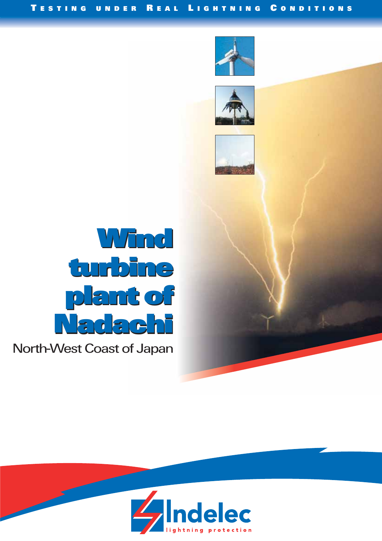







North-West Coast of Japan

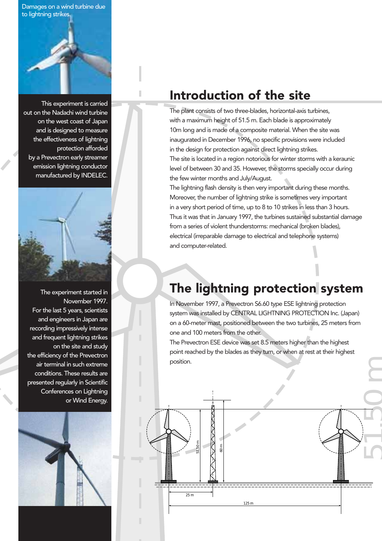Damages on a wind turbine due to lightning strikes.



This experiment is carried out on the Nadachi wind turbine on the west coast of Japan and is designed to measure the effectiveness of lightning protection afforded by a Prevectron early streamer emission lightning conductor manufactured by INDELEC.



The experiment started in November 1997. For the last 5 years, scientists and engineers in Japan are recording impressively intense and frequent lightning strikes on the site and study the efficiency of the Prevectron air terminal in such extreme conditions. These results are presented regularly in Scientific Conferences on Lightning or Wind Energy.



## Introduction of the site

The plant consists of two three-blades, horizontal-axis turbines, with a maximum height of 51.5 m. Each blade is approximately 10m long and is made of a composite material. When the site was inaugurated in December 1996, no specific provisions were included in the design for protection against direct lightning strikes. The site is located in a region notorious for winter storms with a keraunic

level of between 30 and 35. However, the storms specially occur during the few winter months and July/August.

The lightning flash density is then very important during these months. Moreover, the number of lightning strike is sometimes very important in a very short period of time, up to 8 to 10 strikes in less than 3 hours. Thus it was that in January 1997, the turbines sustained substantial damage from a series of violent thunderstorms: mechanical (broken blades), electrical (irreparable damage to electrical and telephone systems) and computer-related.

## The lightning protection system

In November 1997, a Prevectron S6.60 type ESE lightning protection system was installed by CENTRAL LIGHTNING PROTECTION Inc. (Japan) on a 60-meter mast, positioned between the two turbines, 25 meters from one and 100 meters from the other.

The Prevectron ESE device was set 8.5 meters higher than the highest point reached by the blades as they turn, or when at rest at their highest position.

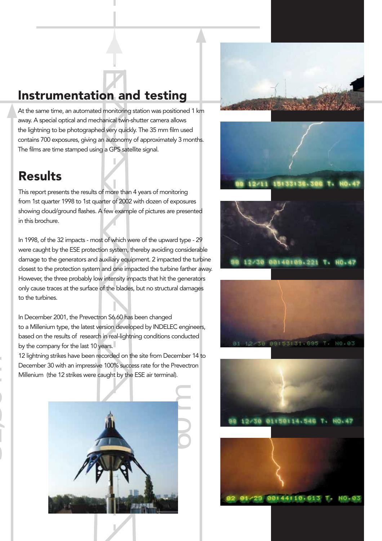# Instrumentation and testing

At the same time, an automated monitoring station was positioned 1 km away. A special optical and mechanical twin-shutter camera allows the lightning to be photographed very quickly. The 35 mm film used contains 700 exposures, giving an autonomy of approximately 3 months. The films are time stamped using a GPS satellite signal.

#### **Results**

[1]<br>[1]<br>[1]<br>]

This report presents the results of more than 4 years of monitoring from 1st quarter 1998 to 1st quarter of 2002 with dozen of exposures showing cloud/ground flashes. A few example of pictures are presented in this brochure.

In 1998, of the 32 impacts - most of which were of the upward type - 29 were caught by the ESE protection system, thereby avoiding considerable damage to the generators and auxiliary equipment. 2 impacted the turbine closest to the protection system and one impacted the turbine farther away. However, the three probably low intensity impacts that hit the generators only cause traces at the surface of the blades, but no structural damages to the turbines.

In December 2001, the Prevectron S6.60 has been changed to a Millenium type, the latest version developed by INDELEC engineers, based on the results of research in real-lightning conditions conducted by the company for the last 10 years.

12 lightning strikes have been recorded on the site from December 14 to December 30 with an impressive 100% success rate for the Prevectron Millenium (the 12 strikes were caught by the ESE air terminal).